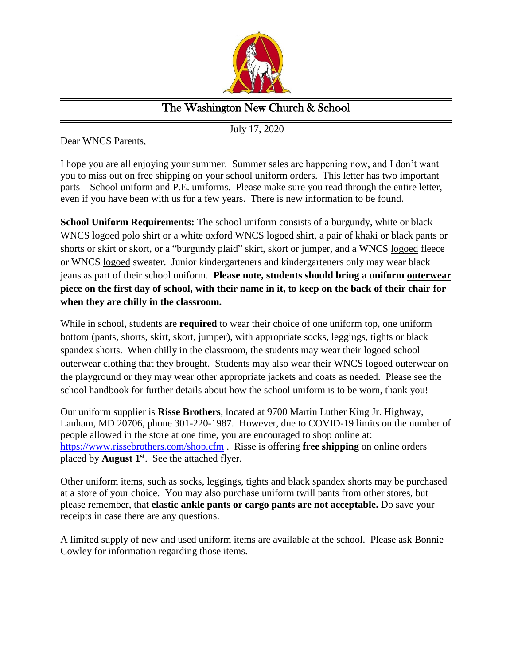

## The Washington New Church & School

July 17, 2020

Dear WNCS Parents,

I hope you are all enjoying your summer. Summer sales are happening now, and I don't want you to miss out on free shipping on your school uniform orders. This letter has two important parts – School uniform and P.E. uniforms. Please make sure you read through the entire letter, even if you have been with us for a few years. There is new information to be found.

**School Uniform Requirements:** The school uniform consists of a burgundy, white or black WNCS logoed polo shirt or a white oxford WNCS logoed shirt, a pair of khaki or black pants or shorts or skirt or skort, or a "burgundy plaid" skirt, skort or jumper, and a WNCS logoed fleece or WNCS logoed sweater. Junior kindergarteners and kindergarteners only may wear black jeans as part of their school uniform. **Please note, students should bring a uniform outerwear piece on the first day of school, with their name in it, to keep on the back of their chair for when they are chilly in the classroom.** 

While in school, students are **required** to wear their choice of one uniform top, one uniform bottom (pants, shorts, skirt, skort, jumper), with appropriate socks, leggings, tights or black spandex shorts. When chilly in the classroom, the students may wear their logoed school outerwear clothing that they brought. Students may also wear their WNCS logoed outerwear on the playground or they may wear other appropriate jackets and coats as needed. Please see the school handbook for further details about how the school uniform is to be worn, thank you!

Our uniform supplier is **Risse Brothers**, located at 9700 Martin Luther King Jr. Highway, Lanham, MD 20706, phone 301-220-1987. However, due to COVID-19 limits on the number of people allowed in the store at one time, you are encouraged to shop online at: <https://www.rissebrothers.com/shop.cfm> . Risse is offering **free shipping** on online orders placed by **August 1st**. See the attached flyer.

Other uniform items, such as socks, leggings, tights and black spandex shorts may be purchased at a store of your choice. You may also purchase uniform twill pants from other stores, but please remember, that **elastic ankle pants or cargo pants are not acceptable.** Do save your receipts in case there are any questions.

A limited supply of new and used uniform items are available at the school. Please ask Bonnie Cowley for information regarding those items.